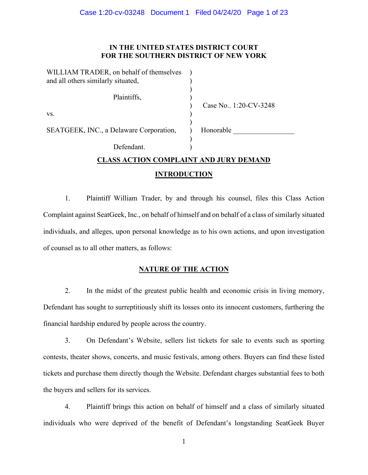# **IN THE UNITED STATES DISTRICT COURT FOR THE SOUTHERN DISTRICT OF NEW YORK**

| WILLIAM TRADER, on behalf of themselves<br>and all others similarly situated, |                       |
|-------------------------------------------------------------------------------|-----------------------|
| Plaintiffs,                                                                   | Case No. 1:20-CV-3248 |
| VS.                                                                           |                       |
| SEATGEEK, INC., a Delaware Corporation,                                       | Honorable             |
| Defendant                                                                     |                       |

# **CLASS ACTION COMPLAINT AND JURY DEMAND INTRODUCTION**

1. Plaintiff William Trader, by and through his counsel, files this Class Action Complaint against SeatGeek, Inc., on behalf of himself and on behalf of a class of similarly situated individuals, and alleges, upon personal knowledge as to his own actions, and upon investigation of counsel as to all other matters, as follows:

# **NATURE OF THE ACTION**

2. In the midst of the greatest public health and economic crisis in living memory, Defendant has sought to surreptitiously shift its losses onto its innocent customers, furthering the financial hardship endured by people across the country.

3. On Defendant's Website, sellers list tickets for sale to events such as sporting contests, theater shows, concerts, and music festivals, among others. Buyers can find these listed tickets and purchase them directly though the Website. Defendant charges substantial fees to both the buyers and sellers for its services.

4. Plaintiff brings this action on behalf of himself and a class of similarly situated individuals who were deprived of the benefit of Defendant's longstanding SeatGeek Buyer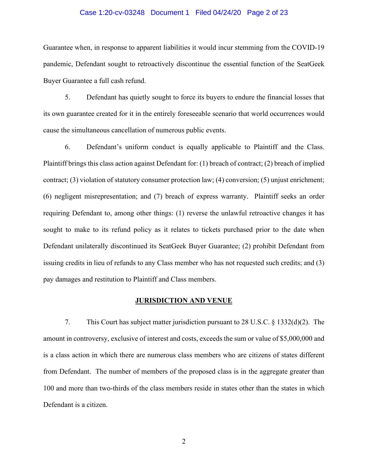#### Case 1:20-cv-03248 Document 1 Filed 04/24/20 Page 2 of 23

Guarantee when, in response to apparent liabilities it would incur stemming from the COVID-19 pandemic, Defendant sought to retroactively discontinue the essential function of the SeatGeek Buyer Guarantee a full cash refund.

5. Defendant has quietly sought to force its buyers to endure the financial losses that its own guarantee created for it in the entirely foreseeable scenario that world occurrences would cause the simultaneous cancellation of numerous public events.

6. Defendant's uniform conduct is equally applicable to Plaintiff and the Class. Plaintiff brings this class action against Defendant for: (1) breach of contract; (2) breach of implied contract; (3) violation of statutory consumer protection law; (4) conversion; (5) unjust enrichment; (6) negligent misrepresentation; and (7) breach of express warranty. Plaintiff seeks an order requiring Defendant to, among other things: (1) reverse the unlawful retroactive changes it has sought to make to its refund policy as it relates to tickets purchased prior to the date when Defendant unilaterally discontinued its SeatGeek Buyer Guarantee; (2) prohibit Defendant from issuing credits in lieu of refunds to any Class member who has not requested such credits; and (3) pay damages and restitution to Plaintiff and Class members.

#### **JURISDICTION AND VENUE**

7. This Court has subject matter jurisdiction pursuant to 28 U.S.C. § 1332(d)(2). The amount in controversy, exclusive of interest and costs, exceeds the sum or value of \$5,000,000 and is a class action in which there are numerous class members who are citizens of states different from Defendant. The number of members of the proposed class is in the aggregate greater than 100 and more than two-thirds of the class members reside in states other than the states in which Defendant is a citizen.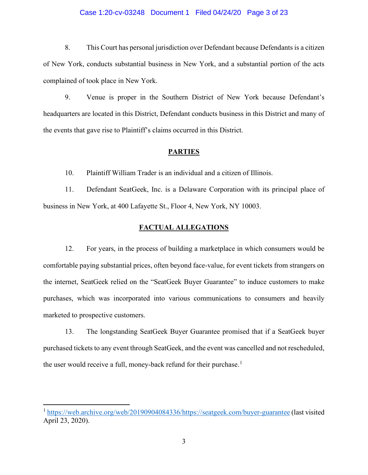#### Case 1:20-cv-03248 Document 1 Filed 04/24/20 Page 3 of 23

8. This Court has personal jurisdiction over Defendant because Defendants is a citizen of New York, conducts substantial business in New York, and a substantial portion of the acts complained of took place in New York.

9. Venue is proper in the Southern District of New York because Defendant's headquarters are located in this District, Defendant conducts business in this District and many of the events that gave rise to Plaintiff's claims occurred in this District.

## **PARTIES**

10. Plaintiff William Trader is an individual and a citizen of Illinois.

11. Defendant SeatGeek, Inc. is a Delaware Corporation with its principal place of business in New York, at 400 Lafayette St., Floor 4, New York, NY 10003.

## **FACTUAL ALLEGATIONS**

12. For years, in the process of building a marketplace in which consumers would be comfortable paying substantial prices, often beyond face-value, for event tickets from strangers on the internet, SeatGeek relied on the "SeatGeek Buyer Guarantee" to induce customers to make purchases, which was incorporated into various communications to consumers and heavily marketed to prospective customers.

13. The longstanding SeatGeek Buyer Guarantee promised that if a SeatGeek buyer purchased tickets to any event through SeatGeek, and the event was cancelled and not rescheduled, the user would receive a full, money-back refund for their purchase.<sup>[1](#page-2-0)</sup>

<span id="page-2-0"></span><sup>&</sup>lt;sup>1</sup> [https://web.archive.org/web/20190904084336/https://seatgeek.com/buyer-guarantee](https://web.archive.org/web/20190904084336/https:/seatgeek.com/buyer-guarantee) (last visited April 23, 2020).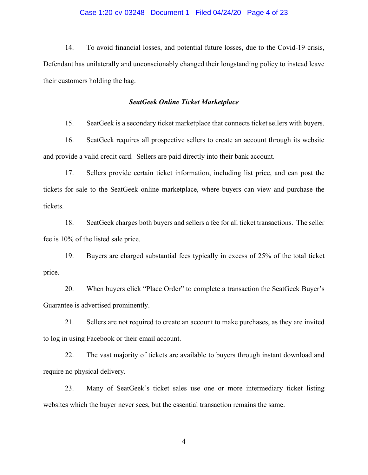#### Case 1:20-cv-03248 Document 1 Filed 04/24/20 Page 4 of 23

14. To avoid financial losses, and potential future losses, due to the Covid-19 crisis, Defendant has unilaterally and unconscionably changed their longstanding policy to instead leave their customers holding the bag.

#### *SeatGeek Online Ticket Marketplace*

15. SeatGeek is a secondary ticket marketplace that connects ticket sellers with buyers.

16. SeatGeek requires all prospective sellers to create an account through its website and provide a valid credit card. Sellers are paid directly into their bank account.

17. Sellers provide certain ticket information, including list price, and can post the tickets for sale to the SeatGeek online marketplace, where buyers can view and purchase the tickets.

18. SeatGeek charges both buyers and sellers a fee for all ticket transactions. The seller fee is 10% of the listed sale price.

19. Buyers are charged substantial fees typically in excess of 25% of the total ticket price.

20. When buyers click "Place Order" to complete a transaction the SeatGeek Buyer's Guarantee is advertised prominently.

21. Sellers are not required to create an account to make purchases, as they are invited to log in using Facebook or their email account.

22. The vast majority of tickets are available to buyers through instant download and require no physical delivery.

23. Many of SeatGeek's ticket sales use one or more intermediary ticket listing websites which the buyer never sees, but the essential transaction remains the same.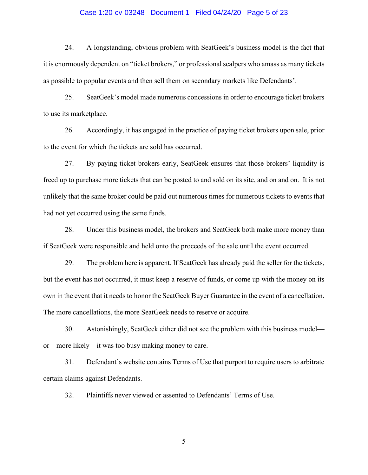#### Case 1:20-cv-03248 Document 1 Filed 04/24/20 Page 5 of 23

24. A longstanding, obvious problem with SeatGeek's business model is the fact that it is enormously dependent on "ticket brokers," or professional scalpers who amass as many tickets as possible to popular events and then sell them on secondary markets like Defendants'.

25. SeatGeek's model made numerous concessions in order to encourage ticket brokers to use its marketplace.

26. Accordingly, it has engaged in the practice of paying ticket brokers upon sale, prior to the event for which the tickets are sold has occurred.

27. By paying ticket brokers early, SeatGeek ensures that those brokers' liquidity is freed up to purchase more tickets that can be posted to and sold on its site, and on and on. It is not unlikely that the same broker could be paid out numerous times for numerous tickets to events that had not yet occurred using the same funds.

28. Under this business model, the brokers and SeatGeek both make more money than if SeatGeek were responsible and held onto the proceeds of the sale until the event occurred.

29. The problem here is apparent. If SeatGeek has already paid the seller for the tickets, but the event has not occurred, it must keep a reserve of funds, or come up with the money on its own in the event that it needs to honor the SeatGeek Buyer Guarantee in the event of a cancellation. The more cancellations, the more SeatGeek needs to reserve or acquire.

30. Astonishingly, SeatGeek either did not see the problem with this business model or—more likely—it was too busy making money to care.

31. Defendant's website contains Terms of Use that purport to require users to arbitrate certain claims against Defendants.

32. Plaintiffs never viewed or assented to Defendants' Terms of Use.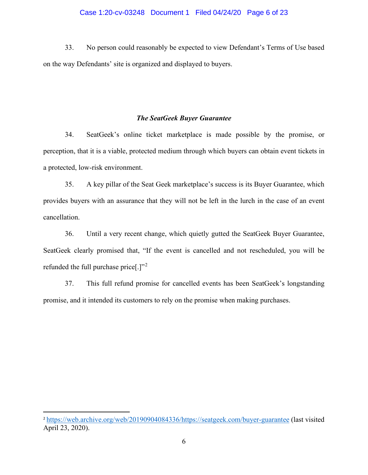#### Case 1:20-cv-03248 Document 1 Filed 04/24/20 Page 6 of 23

33. No person could reasonably be expected to view Defendant's Terms of Use based on the way Defendants' site is organized and displayed to buyers.

## *The SeatGeek Buyer Guarantee*

34. SeatGeek's online ticket marketplace is made possible by the promise, or perception, that it is a viable, protected medium through which buyers can obtain event tickets in a protected, low-risk environment.

35. A key pillar of the Seat Geek marketplace's success is its Buyer Guarantee, which provides buyers with an assurance that they will not be left in the lurch in the case of an event cancellation.

36. Until a very recent change, which quietly gutted the SeatGeek Buyer Guarantee, SeatGeek clearly promised that, "If the event is cancelled and not rescheduled, you will be refunded the full purchase price[.]"[2](#page-5-0)

37. This full refund promise for cancelled events has been SeatGeek's longstanding promise, and it intended its customers to rely on the promise when making purchases.

<span id="page-5-0"></span><sup>2</sup> [https://web.archive.org/web/20190904084336/https://seatgeek.com/buyer-guarantee](https://web.archive.org/web/20190904084336/https:/seatgeek.com/buyer-guarantee) (last visited April 23, 2020).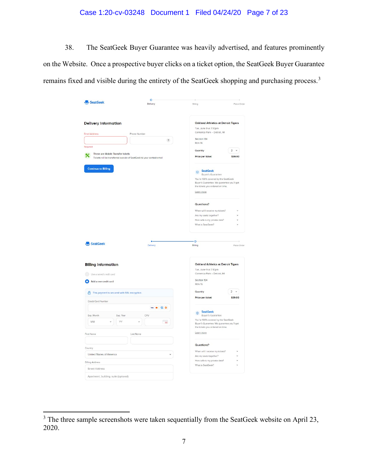# Case 1:20-cv-03248 Document 1 Filed 04/24/20 Page 7 of 23

38. The SeatGeek Buyer Guarantee was heavily advertised, and features prominently on the Website. Once a prospective buyer clicks on a ticket option, the SeatGeek Buyer Guarantee remains fixed and visible during the entirety of the SeatGeek shopping and purchasing process.[3](#page-6-0)

| <b>Pr</b> SeatGeek                                                           | $\circ$<br>Delivery                                                   | Billing                                                                                                               | Place Order  |  |
|------------------------------------------------------------------------------|-----------------------------------------------------------------------|-----------------------------------------------------------------------------------------------------------------------|--------------|--|
|                                                                              |                                                                       |                                                                                                                       |              |  |
| <b>Delivery Information</b>                                                  |                                                                       | Oakland Athletics at Detroit Tigers                                                                                   |              |  |
|                                                                              |                                                                       | Tue, June 9 at 7:10pm<br>Comerica Park - Detroit, MI                                                                  |              |  |
| <b>Email Address</b>                                                         | Phone Number                                                          |                                                                                                                       |              |  |
|                                                                              | $\overline{?}$                                                        | Section 134<br>Row 16                                                                                                 |              |  |
| Required                                                                     |                                                                       |                                                                                                                       |              |  |
| These are Mobile Transfer tickets                                            |                                                                       | Quantity                                                                                                              | $2 - 4$      |  |
| ×                                                                            | Tickets will be transferred outside of SeatGeek to your contact email | Price per ticket                                                                                                      | \$39.00      |  |
| <b>Continue to Billing</b>                                                   |                                                                       | SeatGeek                                                                                                              |              |  |
|                                                                              |                                                                       | <b>Buyer's Guarantee</b>                                                                                              |              |  |
|                                                                              |                                                                       | You're 100% covered by the SeatGeek<br>Buyer's Guarantee. We guarantee you'll get                                     |              |  |
|                                                                              |                                                                       | the tickets you ordered on time.                                                                                      |              |  |
|                                                                              |                                                                       | Learn more                                                                                                            |              |  |
|                                                                              |                                                                       | Questions?                                                                                                            |              |  |
|                                                                              |                                                                       | When will I receive my tickets?                                                                                       |              |  |
|                                                                              |                                                                       | Are my seats together?                                                                                                |              |  |
|                                                                              |                                                                       | How safe is my private data?<br>What is SeatGeek?                                                                     | $\ddot{}$    |  |
|                                                                              |                                                                       |                                                                                                                       |              |  |
|                                                                              |                                                                       |                                                                                                                       |              |  |
|                                                                              |                                                                       |                                                                                                                       |              |  |
|                                                                              | Delivery                                                              | ō<br>Billing                                                                                                          | Place Order  |  |
| Add a new credit card                                                        |                                                                       | <b>Oakland Athletics at Detroit Tigers</b><br>Tue, June 9 at 7:10pm<br>Comerica Park - Detroit, MI<br>Section 134     |              |  |
|                                                                              |                                                                       | Row 16                                                                                                                |              |  |
| <b>合</b> This payment is secured with SSL encryption.                        |                                                                       | Quantity                                                                                                              | $2 \times$   |  |
| Credit Card Number                                                           |                                                                       | Price per ticket                                                                                                      | \$39.00      |  |
| <b>P</b> r SeatGeek<br><b>Billing Information</b><br>Use a saved credit card | WA . GO                                                               |                                                                                                                       |              |  |
| Exp. Month<br>Exp. Year                                                      | CVV                                                                   | SeatGeek<br><b>Buyer's Guarantee</b>                                                                                  |              |  |
| MM<br>YY                                                                     | $(\cdots)$                                                            | You're 100% covered by the SeatGeek<br>Buyer's Guarantee. We guarantee you'll get<br>the tickets you ordered on time. |              |  |
|                                                                              | Last Name                                                             | Learn more                                                                                                            |              |  |
|                                                                              |                                                                       |                                                                                                                       |              |  |
|                                                                              |                                                                       | Questions?                                                                                                            |              |  |
| United States of America                                                     |                                                                       | When will I receive my tickets?                                                                                       |              |  |
|                                                                              |                                                                       | Are my seats together?                                                                                                | $\checkmark$ |  |
| First Name<br>Country<br><b>Billing Address</b><br><b>Street Address</b>     |                                                                       | How safe is my private data?<br>What is SeatGeek?                                                                     |              |  |

<span id="page-6-0"></span> $3$  The three sample screenshots were taken sequentially from the SeatGeek website on April 23, 2020.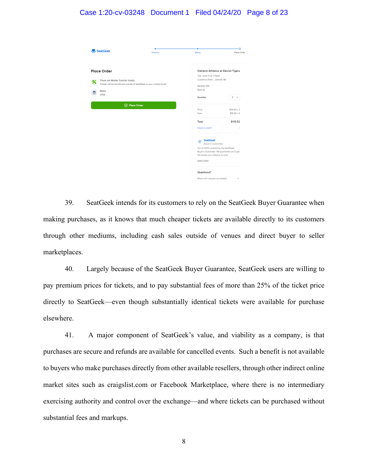## Case 1:20-cv-03248 Document 1 Filed 04/24/20 Page 8 of 23

| <b>F</b> SeatGeek                                                                                                                                                         | Delivery                  | Billing                                                                                                                                     | ٥<br>Place Order      |
|---------------------------------------------------------------------------------------------------------------------------------------------------------------------------|---------------------------|---------------------------------------------------------------------------------------------------------------------------------------------|-----------------------|
| <b>Place Order</b><br>These are Mobile Transfer tickets<br>×<br>Tickets will be transferred outside of SeatGeek to your contact email<br><b>Notes</b><br>Е<br><b>XFER</b> |                           | Oakland Athletics at Detroit Tigers<br>Tue, June 9 at 7:10pm<br>Comerica Park - Detroit, MI                                                 |                       |
|                                                                                                                                                                           |                           | Section 134<br>Row 16                                                                                                                       |                       |
| <b>⊘</b> Place Order                                                                                                                                                      | Quantity<br>Price<br>Fees | $2 - 4$<br>$$39.00 \times 2$$<br>$$19.26 \times 2$                                                                                          |                       |
|                                                                                                                                                                           |                           | Total<br>Have a code?                                                                                                                       | \$116.52<br>$\ddot{}$ |
|                                                                                                                                                                           |                           | <b>SeatGeek</b><br>$\circ$<br><b>Buyer's Guarantee</b><br>You're 100% covered by the SeatGeek<br>Buyer's Guarantee. We guarantee you'll get |                       |
|                                                                                                                                                                           |                           | the tickets you ordered on time.<br>Learn more                                                                                              |                       |
|                                                                                                                                                                           |                           | Questions?<br>When will I receive my tickets?                                                                                               | $\checkmark$          |

39. SeatGeek intends for its customers to rely on the SeatGeek Buyer Guarantee when making purchases, as it knows that much cheaper tickets are available directly to its customers through other mediums, including cash sales outside of venues and direct buyer to seller marketplaces.

40. Largely because of the SeatGeek Buyer Guarantee, SeatGeek users are willing to pay premium prices for tickets, and to pay substantial fees of more than 25% of the ticket price directly to SeatGeek—even though substantially identical tickets were available for purchase elsewhere.

41. A major component of SeatGeek's value, and viability as a company, is that purchases are secure and refunds are available for cancelled events. Such a benefit is not available to buyers who make purchases directly from other available resellers, through other indirect online market sites such as craigslist.com or Facebook Marketplace, where there is no intermediary exercising authority and control over the exchange—and where tickets can be purchased without substantial fees and markups.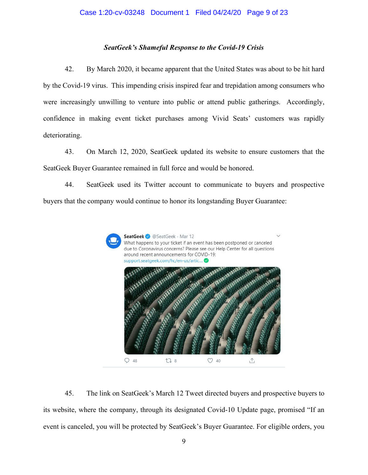## *SeatGeek's Shameful Response to the Covid-19 Crisis*

42. By March 2020, it became apparent that the United States was about to be hit hard by the Covid-19 virus. This impending crisis inspired fear and trepidation among consumers who were increasingly unwilling to venture into public or attend public gatherings. Accordingly, confidence in making event ticket purchases among Vivid Seats' customers was rapidly deteriorating.

43. On March 12, 2020, SeatGeek updated its website to ensure customers that the SeatGeek Buyer Guarantee remained in full force and would be honored.

44. SeatGeek used its Twitter account to communicate to buyers and prospective buyers that the company would continue to honor its longstanding Buyer Guarantee:



45. The link on SeatGeek's March 12 Tweet directed buyers and prospective buyers to its website, where the company, through its designated Covid-10 Update page, promised "If an event is canceled, you will be protected by SeatGeek's Buyer Guarantee. For eligible orders, you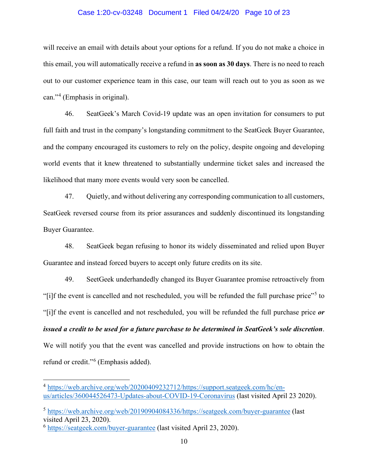#### Case 1:20-cv-03248 Document 1 Filed 04/24/20 Page 10 of 23

will receive an email with details about your options for a refund. If you do not make a choice in this email, you will automatically receive a refund in **as soon as 30 days**. There is no need to reach out to our customer experience team in this case, our team will reach out to you as soon as we can."[4](#page-9-0) (Emphasis in original).

46. SeatGeek's March Covid-19 update was an open invitation for consumers to put full faith and trust in the company's longstanding commitment to the SeatGeek Buyer Guarantee, and the company encouraged its customers to rely on the policy, despite ongoing and developing world events that it knew threatened to substantially undermine ticket sales and increased the likelihood that many more events would very soon be cancelled.

47. Quietly, and without delivering any corresponding communication to all customers, SeatGeek reversed course from its prior assurances and suddenly discontinued its longstanding Buyer Guarantee.

48. SeatGeek began refusing to honor its widely disseminated and relied upon Buyer Guarantee and instead forced buyers to accept only future credits on its site.

49. SeetGeek underhandedly changed its Buyer Guarantee promise retroactively from "[i]f the event is cancelled and not rescheduled, you will be refunded the full purchase price"<sup>[5](#page-9-1)</sup> to "[i]f the event is cancelled and not rescheduled, you will be refunded the full purchase price *or issued a credit to be used for a future purchase to be determined in SeatGeek's sole discretion*. We will notify you that the event was cancelled and provide instructions on how to obtain the refund or credit."[6](#page-9-2) (Emphasis added).

<span id="page-9-0"></span><sup>4</sup> [https://web.archive.org/web/20200409232712/https://support.seatgeek.com/hc/en](https://web.archive.org/web/20200409232712/https:/support.seatgeek.com/hc/en-us/articles/360044526473-Updates-about-COVID-19-Coronavirus)[us/articles/360044526473-Updates-about-COVID-19-Coronavirus](https://web.archive.org/web/20200409232712/https:/support.seatgeek.com/hc/en-us/articles/360044526473-Updates-about-COVID-19-Coronavirus) (last visited April 23 2020).

<span id="page-9-1"></span><sup>5</sup> [https://web.archive.org/web/20190904084336/https://seatgeek.com/buyer-guarantee](https://web.archive.org/web/20190904084336/https:/seatgeek.com/buyer-guarantee) (last visited April 23, 2020).

<span id="page-9-2"></span><sup>6</sup> <https://seatgeek.com/buyer-guarantee> (last visited April 23, 2020).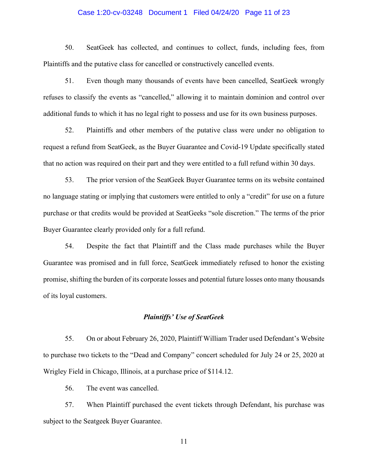#### Case 1:20-cv-03248 Document 1 Filed 04/24/20 Page 11 of 23

50. SeatGeek has collected, and continues to collect, funds, including fees, from Plaintiffs and the putative class for cancelled or constructively cancelled events.

51. Even though many thousands of events have been cancelled, SeatGeek wrongly refuses to classify the events as "cancelled," allowing it to maintain dominion and control over additional funds to which it has no legal right to possess and use for its own business purposes.

52. Plaintiffs and other members of the putative class were under no obligation to request a refund from SeatGeek, as the Buyer Guarantee and Covid-19 Update specifically stated that no action was required on their part and they were entitled to a full refund within 30 days.

53. The prior version of the SeatGeek Buyer Guarantee terms on its website contained no language stating or implying that customers were entitled to only a "credit" for use on a future purchase or that credits would be provided at SeatGeeks "sole discretion." The terms of the prior Buyer Guarantee clearly provided only for a full refund.

54. Despite the fact that Plaintiff and the Class made purchases while the Buyer Guarantee was promised and in full force, SeatGeek immediately refused to honor the existing promise, shifting the burden of its corporate losses and potential future losses onto many thousands of its loyal customers.

## *Plaintiffs' Use of SeatGeek*

55. On or about February 26, 2020, Plaintiff William Trader used Defendant's Website to purchase two tickets to the "Dead and Company" concert scheduled for July 24 or 25, 2020 at Wrigley Field in Chicago, Illinois, at a purchase price of \$114.12.

56. The event was cancelled.

57. When Plaintiff purchased the event tickets through Defendant, his purchase was subject to the Seatgeek Buyer Guarantee.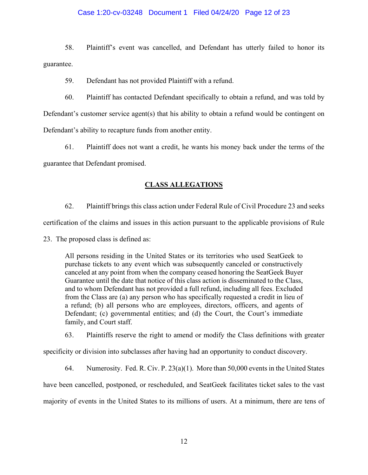## Case 1:20-cv-03248 Document 1 Filed 04/24/20 Page 12 of 23

58. Plaintiff's event was cancelled, and Defendant has utterly failed to honor its guarantee.

59. Defendant has not provided Plaintiff with a refund.

60. Plaintiff has contacted Defendant specifically to obtain a refund, and was told by Defendant's customer service agent(s) that his ability to obtain a refund would be contingent on Defendant's ability to recapture funds from another entity.

61. Plaintiff does not want a credit, he wants his money back under the terms of the guarantee that Defendant promised.

# **CLASS ALLEGATIONS**

62. Plaintiff brings this class action under Federal Rule of Civil Procedure 23 and seeks certification of the claims and issues in this action pursuant to the applicable provisions of Rule

23. The proposed class is defined as:

All persons residing in the United States or its territories who used SeatGeek to purchase tickets to any event which was subsequently canceled or constructively canceled at any point from when the company ceased honoring the SeatGeek Buyer Guarantee until the date that notice of this class action is disseminated to the Class, and to whom Defendant has not provided a full refund, including all fees. Excluded from the Class are (a) any person who has specifically requested a credit in lieu of a refund; (b) all persons who are employees, directors, officers, and agents of Defendant; (c) governmental entities; and (d) the Court, the Court's immediate family, and Court staff.

63. Plaintiffs reserve the right to amend or modify the Class definitions with greater

specificity or division into subclasses after having had an opportunity to conduct discovery.

64. Numerosity. Fed. R. Civ. P. 23(a)(1). More than 50,000 events in the United States have been cancelled, postponed, or rescheduled, and SeatGeek facilitates ticket sales to the vast majority of events in the United States to its millions of users. At a minimum, there are tens of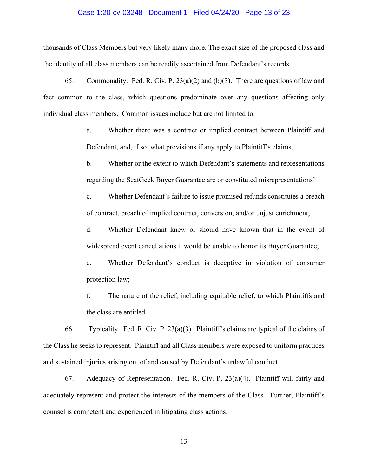#### Case 1:20-cv-03248 Document 1 Filed 04/24/20 Page 13 of 23

thousands of Class Members but very likely many more. The exact size of the proposed class and the identity of all class members can be readily ascertained from Defendant's records.

65. Commonality. Fed. R. Civ. P. 23(a)(2) and (b)(3). There are questions of law and fact common to the class, which questions predominate over any questions affecting only individual class members. Common issues include but are not limited to:

> a. Whether there was a contract or implied contract between Plaintiff and Defendant, and, if so, what provisions if any apply to Plaintiff's claims;

> b. Whether or the extent to which Defendant's statements and representations regarding the SeatGeek Buyer Guarantee are or constituted misrepresentations'

> c. Whether Defendant's failure to issue promised refunds constitutes a breach of contract, breach of implied contract, conversion, and/or unjust enrichment;

> d. Whether Defendant knew or should have known that in the event of widespread event cancellations it would be unable to honor its Buyer Guarantee;

> e. Whether Defendant's conduct is deceptive in violation of consumer protection law;

> f. The nature of the relief, including equitable relief, to which Plaintiffs and the class are entitled.

66. Typicality. Fed. R. Civ. P. 23(a)(3). Plaintiff's claims are typical of the claims of the Class he seeks to represent. Plaintiff and all Class members were exposed to uniform practices and sustained injuries arising out of and caused by Defendant's unlawful conduct.

67. Adequacy of Representation. Fed. R. Civ. P. 23(a)(4). Plaintiff will fairly and adequately represent and protect the interests of the members of the Class. Further, Plaintiff's counsel is competent and experienced in litigating class actions.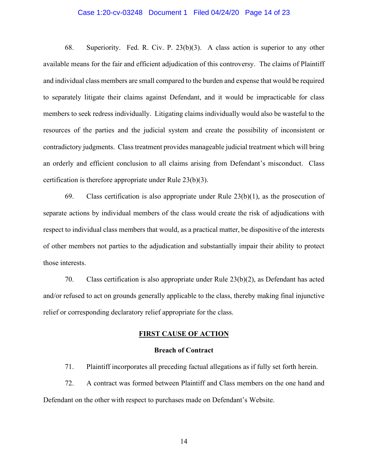#### Case 1:20-cv-03248 Document 1 Filed 04/24/20 Page 14 of 23

68. Superiority. Fed. R. Civ. P. 23(b)(3). A class action is superior to any other available means for the fair and efficient adjudication of this controversy. The claims of Plaintiff and individual class members are small compared to the burden and expense that would be required to separately litigate their claims against Defendant, and it would be impracticable for class members to seek redress individually. Litigating claims individually would also be wasteful to the resources of the parties and the judicial system and create the possibility of inconsistent or contradictory judgments. Class treatment provides manageable judicial treatment which will bring an orderly and efficient conclusion to all claims arising from Defendant's misconduct. Class certification is therefore appropriate under Rule 23(b)(3).

69. Class certification is also appropriate under Rule  $23(b)(1)$ , as the prosecution of separate actions by individual members of the class would create the risk of adjudications with respect to individual class members that would, as a practical matter, be dispositive of the interests of other members not parties to the adjudication and substantially impair their ability to protect those interests.

70. Class certification is also appropriate under Rule 23(b)(2), as Defendant has acted and/or refused to act on grounds generally applicable to the class, thereby making final injunctive relief or corresponding declaratory relief appropriate for the class.

#### **FIRST CAUSE OF ACTION**

#### **Breach of Contract**

71. Plaintiff incorporates all preceding factual allegations as if fully set forth herein.

72. A contract was formed between Plaintiff and Class members on the one hand and Defendant on the other with respect to purchases made on Defendant's Website.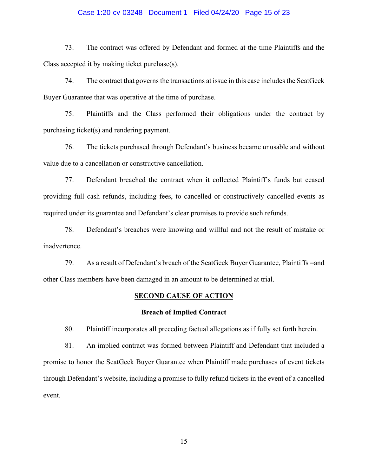#### Case 1:20-cv-03248 Document 1 Filed 04/24/20 Page 15 of 23

73. The contract was offered by Defendant and formed at the time Plaintiffs and the Class accepted it by making ticket purchase(s).

74. The contract that governs the transactions at issue in this case includes the SeatGeek Buyer Guarantee that was operative at the time of purchase.

75. Plaintiffs and the Class performed their obligations under the contract by purchasing ticket(s) and rendering payment.

76. The tickets purchased through Defendant's business became unusable and without value due to a cancellation or constructive cancellation.

77. Defendant breached the contract when it collected Plaintiff's funds but ceased providing full cash refunds, including fees, to cancelled or constructively cancelled events as required under its guarantee and Defendant's clear promises to provide such refunds.

78. Defendant's breaches were knowing and willful and not the result of mistake or inadvertence.

79. As a result of Defendant's breach of the SeatGeek Buyer Guarantee, Plaintiffs =and other Class members have been damaged in an amount to be determined at trial.

#### **SECOND CAUSE OF ACTION**

#### **Breach of Implied Contract**

80. Plaintiff incorporates all preceding factual allegations as if fully set forth herein.

81. An implied contract was formed between Plaintiff and Defendant that included a promise to honor the SeatGeek Buyer Guarantee when Plaintiff made purchases of event tickets through Defendant's website, including a promise to fully refund tickets in the event of a cancelled event.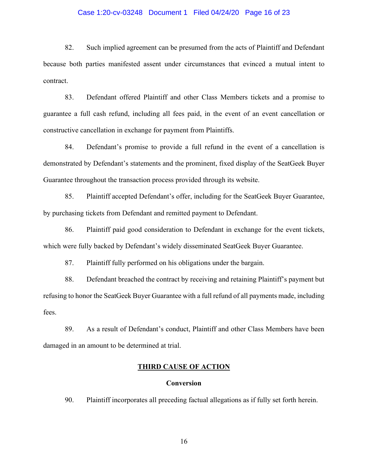#### Case 1:20-cv-03248 Document 1 Filed 04/24/20 Page 16 of 23

82. Such implied agreement can be presumed from the acts of Plaintiff and Defendant because both parties manifested assent under circumstances that evinced a mutual intent to contract.

83. Defendant offered Plaintiff and other Class Members tickets and a promise to guarantee a full cash refund, including all fees paid, in the event of an event cancellation or constructive cancellation in exchange for payment from Plaintiffs.

84. Defendant's promise to provide a full refund in the event of a cancellation is demonstrated by Defendant's statements and the prominent, fixed display of the SeatGeek Buyer Guarantee throughout the transaction process provided through its website.

85. Plaintiff accepted Defendant's offer, including for the SeatGeek Buyer Guarantee, by purchasing tickets from Defendant and remitted payment to Defendant.

86. Plaintiff paid good consideration to Defendant in exchange for the event tickets, which were fully backed by Defendant's widely disseminated SeatGeek Buyer Guarantee.

87. Plaintiff fully performed on his obligations under the bargain.

88. Defendant breached the contract by receiving and retaining Plaintiff's payment but refusing to honor the SeatGeek Buyer Guarantee with a full refund of all payments made, including fees.

89. As a result of Defendant's conduct, Plaintiff and other Class Members have been damaged in an amount to be determined at trial.

# **THIRD CAUSE OF ACTION**

#### **Conversion**

90. Plaintiff incorporates all preceding factual allegations as if fully set forth herein.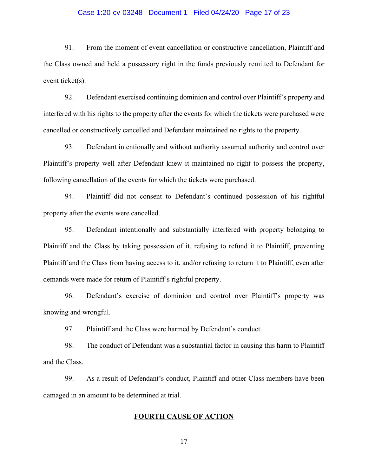#### Case 1:20-cv-03248 Document 1 Filed 04/24/20 Page 17 of 23

91. From the moment of event cancellation or constructive cancellation, Plaintiff and the Class owned and held a possessory right in the funds previously remitted to Defendant for event ticket(s).

92. Defendant exercised continuing dominion and control over Plaintiff's property and interfered with his rights to the property after the events for which the tickets were purchased were cancelled or constructively cancelled and Defendant maintained no rights to the property.

93. Defendant intentionally and without authority assumed authority and control over Plaintiff's property well after Defendant knew it maintained no right to possess the property, following cancellation of the events for which the tickets were purchased.

94. Plaintiff did not consent to Defendant's continued possession of his rightful property after the events were cancelled.

95. Defendant intentionally and substantially interfered with property belonging to Plaintiff and the Class by taking possession of it, refusing to refund it to Plaintiff, preventing Plaintiff and the Class from having access to it, and/or refusing to return it to Plaintiff, even after demands were made for return of Plaintiff's rightful property.

96. Defendant's exercise of dominion and control over Plaintiff's property was knowing and wrongful.

97. Plaintiff and the Class were harmed by Defendant's conduct.

98. The conduct of Defendant was a substantial factor in causing this harm to Plaintiff and the Class.

99. As a result of Defendant's conduct, Plaintiff and other Class members have been damaged in an amount to be determined at trial.

# **FOURTH CAUSE OF ACTION**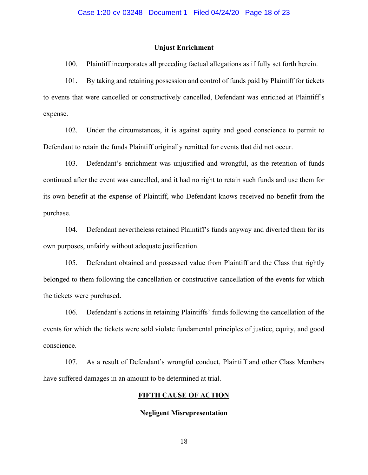#### **Unjust Enrichment**

100. Plaintiff incorporates all preceding factual allegations as if fully set forth herein.

101. By taking and retaining possession and control of funds paid by Plaintiff for tickets to events that were cancelled or constructively cancelled, Defendant was enriched at Plaintiff's expense.

102. Under the circumstances, it is against equity and good conscience to permit to Defendant to retain the funds Plaintiff originally remitted for events that did not occur.

103. Defendant's enrichment was unjustified and wrongful, as the retention of funds continued after the event was cancelled, and it had no right to retain such funds and use them for its own benefit at the expense of Plaintiff, who Defendant knows received no benefit from the purchase.

104. Defendant nevertheless retained Plaintiff's funds anyway and diverted them for its own purposes, unfairly without adequate justification.

105. Defendant obtained and possessed value from Plaintiff and the Class that rightly belonged to them following the cancellation or constructive cancellation of the events for which the tickets were purchased.

106. Defendant's actions in retaining Plaintiffs' funds following the cancellation of the events for which the tickets were sold violate fundamental principles of justice, equity, and good conscience.

107. As a result of Defendant's wrongful conduct, Plaintiff and other Class Members have suffered damages in an amount to be determined at trial.

## **FIFTH CAUSE OF ACTION**

#### **Negligent Misrepresentation**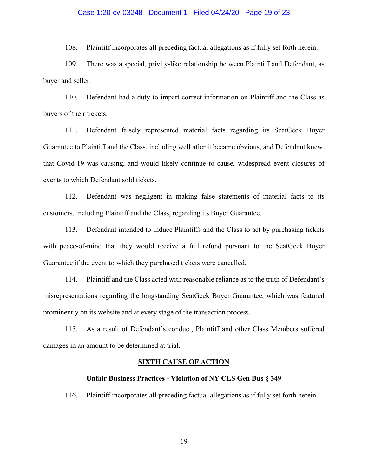#### Case 1:20-cv-03248 Document 1 Filed 04/24/20 Page 19 of 23

108. Plaintiff incorporates all preceding factual allegations as if fully set forth herein.

109. There was a special, privity-like relationship between Plaintiff and Defendant, as buyer and seller.

110. Defendant had a duty to impart correct information on Plaintiff and the Class as buyers of their tickets.

111. Defendant falsely represented material facts regarding its SeatGeek Buyer Guarantee to Plaintiff and the Class, including well after it became obvious, and Defendant knew, that Covid-19 was causing, and would likely continue to cause, widespread event closures of events to which Defendant sold tickets.

112. Defendant was negligent in making false statements of material facts to its customers, including Plaintiff and the Class, regarding its Buyer Guarantee.

113. Defendant intended to induce Plaintiffs and the Class to act by purchasing tickets with peace-of-mind that they would receive a full refund pursuant to the SeatGeek Buyer Guarantee if the event to which they purchased tickets were cancelled.

114. Plaintiff and the Class acted with reasonable reliance as to the truth of Defendant's misrepresentations regarding the longstanding SeatGeek Buyer Guarantee, which was featured prominently on its website and at every stage of the transaction process.

115. As a result of Defendant's conduct, Plaintiff and other Class Members suffered damages in an amount to be determined at trial.

#### **SIXTH CAUSE OF ACTION**

#### **Unfair Business Practices - Violation of NY CLS Gen Bus § 349**

116. Plaintiff incorporates all preceding factual allegations as if fully set forth herein.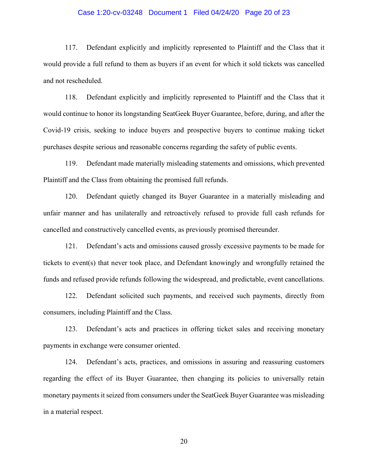#### Case 1:20-cv-03248 Document 1 Filed 04/24/20 Page 20 of 23

117. Defendant explicitly and implicitly represented to Plaintiff and the Class that it would provide a full refund to them as buyers if an event for which it sold tickets was cancelled and not rescheduled.

118. Defendant explicitly and implicitly represented to Plaintiff and the Class that it would continue to honor its longstanding SeatGeek Buyer Guarantee, before, during, and after the Covid-19 crisis, seeking to induce buyers and prospective buyers to continue making ticket purchases despite serious and reasonable concerns regarding the safety of public events.

119. Defendant made materially misleading statements and omissions, which prevented Plaintiff and the Class from obtaining the promised full refunds.

120. Defendant quietly changed its Buyer Guarantee in a materially misleading and unfair manner and has unilaterally and retroactively refused to provide full cash refunds for cancelled and constructively cancelled events, as previously promised thereunder.

121. Defendant's acts and omissions caused grossly excessive payments to be made for tickets to event(s) that never took place, and Defendant knowingly and wrongfully retained the funds and refused provide refunds following the widespread, and predictable, event cancellations.

122. Defendant solicited such payments, and received such payments, directly from consumers, including Plaintiff and the Class.

123. Defendant's acts and practices in offering ticket sales and receiving monetary payments in exchange were consumer oriented.

124. Defendant's acts, practices, and omissions in assuring and reassuring customers regarding the effect of its Buyer Guarantee, then changing its policies to universally retain monetary payments it seized from consumers under the SeatGeek Buyer Guarantee was misleading in a material respect.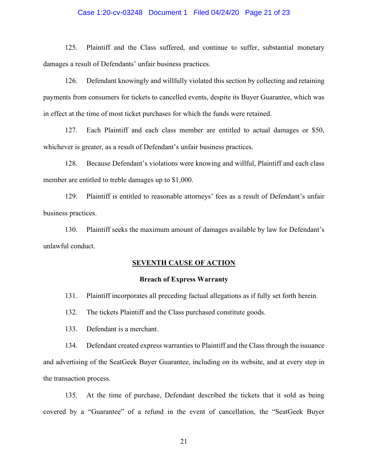#### Case 1:20-cv-03248 Document 1 Filed 04/24/20 Page 21 of 23

125. Plaintiff and the Class suffered, and continue to suffer, substantial monetary damages a result of Defendants' unfair business practices.

126. Defendant knowingly and willfully violated this section by collecting and retaining payments from consumers for tickets to cancelled events, despite its Buyer Guarantee, which was in effect at the time of most ticket purchases for which the funds were retained.

127. Each Plaintiff and each class member are entitled to actual damages or \$50, whichever is greater, as a result of Defendant's unfair business practices.

128. Because Defendant's violations were knowing and willful, Plaintiff and each class member are entitled to treble damages up to \$1,000.

129. Plaintiff is entitled to reasonable attorneys' fees as a result of Defendant's unfair business practices.

130. Plaintiff seeks the maximum amount of damages available by law for Defendant's unlawful conduct.

#### **SEVENTH CAUSE OF ACTION**

#### **Breach of Express Warranty**

131. Plaintiff incorporates all preceding factual allegations as if fully set forth herein.

132. The tickets Plaintiff and the Class purchased constitute goods.

133. Defendant is a merchant.

134. Defendant created express warranties to Plaintiff and the Class through the issuance and advertising of the SeatGeek Buyer Guarantee, including on its website, and at every step in the transaction process.

135. At the time of purchase, Defendant described the tickets that it sold as being covered by a "Guarantee" of a refund in the event of cancellation, the "SeatGeek Buyer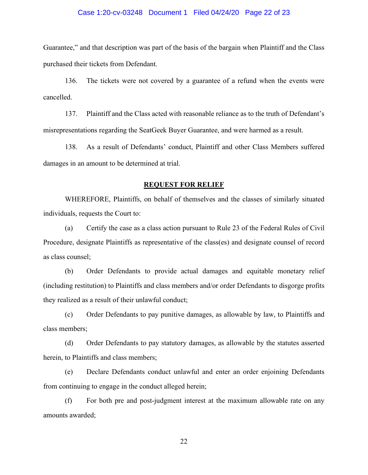#### Case 1:20-cv-03248 Document 1 Filed 04/24/20 Page 22 of 23

Guarantee," and that description was part of the basis of the bargain when Plaintiff and the Class purchased their tickets from Defendant.

136. The tickets were not covered by a guarantee of a refund when the events were cancelled.

137. Plaintiff and the Class acted with reasonable reliance as to the truth of Defendant's misrepresentations regarding the SeatGeek Buyer Guarantee, and were harmed as a result.

138. As a result of Defendants' conduct, Plaintiff and other Class Members suffered damages in an amount to be determined at trial.

## **REQUEST FOR RELIEF**

WHEREFORE, Plaintiffs, on behalf of themselves and the classes of similarly situated individuals, requests the Court to:

(a) Certify the case as a class action pursuant to Rule 23 of the Federal Rules of Civil Procedure, designate Plaintiffs as representative of the class(es) and designate counsel of record as class counsel;

(b) Order Defendants to provide actual damages and equitable monetary relief (including restitution) to Plaintiffs and class members and/or order Defendants to disgorge profits they realized as a result of their unlawful conduct;

(c) Order Defendants to pay punitive damages, as allowable by law, to Plaintiffs and class members;

(d) Order Defendants to pay statutory damages, as allowable by the statutes asserted herein, to Plaintiffs and class members;

(e) Declare Defendants conduct unlawful and enter an order enjoining Defendants from continuing to engage in the conduct alleged herein;

(f) For both pre and post-judgment interest at the maximum allowable rate on any amounts awarded;